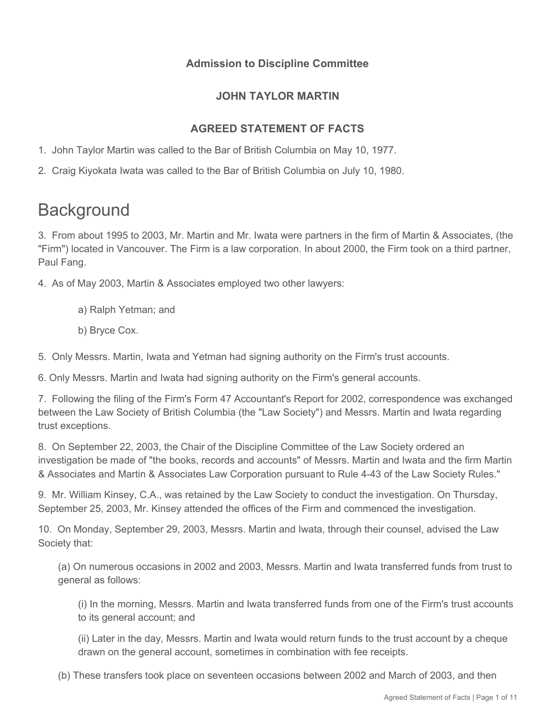## **Admission to Discipline Committee**

## **JOHN TAYLOR MARTIN**

# **AGREED STATEMENT OF FACTS**

- 1. John Taylor Martin was called to the Bar of British Columbia on May 10, 1977.
- 2. Craig Kiyokata Iwata was called to the Bar of British Columbia on July 10, 1980.

# **Background**

3. From about 1995 to 2003, Mr. Martin and Mr. Iwata were partners in the firm of Martin & Associates, (the "Firm") located in Vancouver. The Firm is a law corporation. In about 2000, the Firm took on a third partner, Paul Fang.

4. As of May 2003, Martin & Associates employed two other lawyers:

- a) Ralph Yetman; and
- b) Bryce Cox.

5. Only Messrs. Martin, Iwata and Yetman had signing authority on the Firm's trust accounts.

6. Only Messrs. Martin and Iwata had signing authority on the Firm's general accounts.

7. Following the filing of the Firm's Form 47 Accountant's Report for 2002, correspondence was exchanged between the Law Society of British Columbia (the "Law Society") and Messrs. Martin and Iwata regarding trust exceptions.

8. On September 22, 2003, the Chair of the Discipline Committee of the Law Society ordered an investigation be made of "the books, records and accounts" of Messrs. Martin and Iwata and the firm Martin & Associates and Martin & Associates Law Corporation pursuant to Rule 4-43 of the Law Society Rules."

9. Mr. William Kinsey, C.A., was retained by the Law Society to conduct the investigation. On Thursday, September 25, 2003, Mr. Kinsey attended the offices of the Firm and commenced the investigation.

10. On Monday, September 29, 2003, Messrs. Martin and Iwata, through their counsel, advised the Law Society that:

(a) On numerous occasions in 2002 and 2003, Messrs. Martin and Iwata transferred funds from trust to general as follows:

(i) In the morning, Messrs. Martin and Iwata transferred funds from one of the Firm's trust accounts to its general account; and

(ii) Later in the day, Messrs. Martin and Iwata would return funds to the trust account by a cheque drawn on the general account, sometimes in combination with fee receipts.

(b) These transfers took place on seventeen occasions between 2002 and March of 2003, and then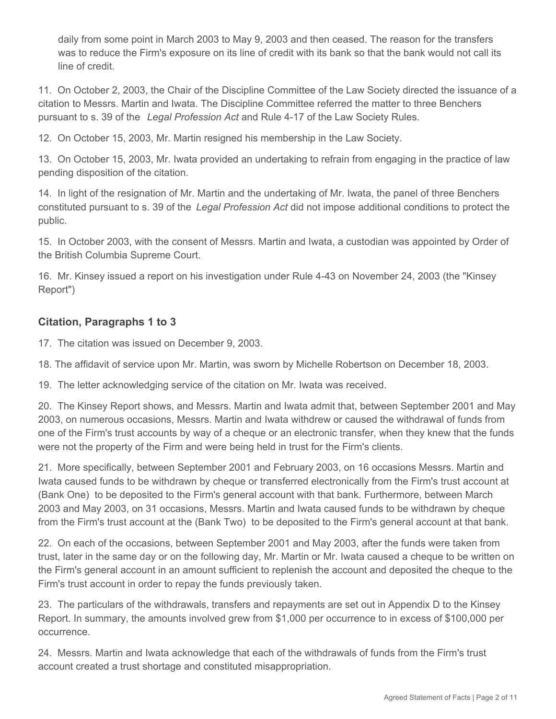daily from some point in March 2003 to May 9, 2003 and then ceased. The reason for the transfers was to reduce the Firm's exposure on its line of credit with its bank so that the bank would not call its line of credit.

11. On October 2, 2003, the Chair of the Discipline Committee of the Law Society directed the issuance of a citation to Messrs. Martin and Iwata. The Discipline Committee referred the matter to three Benchers pursuant to s. 39 of the *Legal Profession Act* and Rule 4-17 of the Law Society Rules.

12. On October 15, 2003, Mr. Martin resigned his membership in the Law Society.

13. On October 15, 2003, Mr. Iwata provided an undertaking to refrain from engaging in the practice of law pending disposition of the citation.

14. In light of the resignation of Mr. Martin and the undertaking of Mr. Iwata, the panel of three Benchers constituted pursuant to s. 39 of the *Legal Profession Act* did not impose additional conditions to protect the public.

15. In October 2003, with the consent of Messrs. Martin and Iwata, a custodian was appointed by Order of the British Columbia Supreme Court.

16. Mr. Kinsey issued a report on his investigation under Rule 4-43 on November 24, 2003 (the "Kinsey Report")

# **Citation, Paragraphs 1 to 3**

17. The citation was issued on December 9, 2003.

18. The affidavit of service upon Mr. Martin, was sworn by Michelle Robertson on December 18, 2003.

19. The letter acknowledging service of the citation on Mr. Iwata was received.

20. The Kinsey Report shows, and Messrs. Martin and Iwata admit that, between September 2001 and May 2003, on numerous occasions, Messrs. Martin and Iwata withdrew or caused the withdrawal of funds from one of the Firm's trust accounts by way of a cheque or an electronic transfer, when they knew that the funds were not the property of the Firm and were being held in trust for the Firm's clients.

21. More specifically, between September 2001 and February 2003, on 16 occasions Messrs. Martin and Iwata caused funds to be withdrawn by cheque or transferred electronically from the Firm's trust account at (Bank One) to be deposited to the Firm's general account with that bank. Furthermore, between March 2003 and May 2003, on 31 occasions, Messrs. Martin and Iwata caused funds to be withdrawn by cheque from the Firm's trust account at the (Bank Two) to be deposited to the Firm's general account at that bank.

22. On each of the occasions, between September 2001 and May 2003, after the funds were taken from trust, later in the same day or on the following day, Mr. Martin or Mr. Iwata caused a cheque to be written on the Firm's general account in an amount sufficient to replenish the account and deposited the cheque to the Firm's trust account in order to repay the funds previously taken.

23. The particulars of the withdrawals, transfers and repayments are set out in Appendix D to the Kinsey Report. In summary, the amounts involved grew from \$1,000 per occurrence to in excess of \$100,000 per occurrence.

24. Messrs. Martin and Iwata acknowledge that each of the withdrawals of funds from the Firm's trust account created a trust shortage and constituted misappropriation.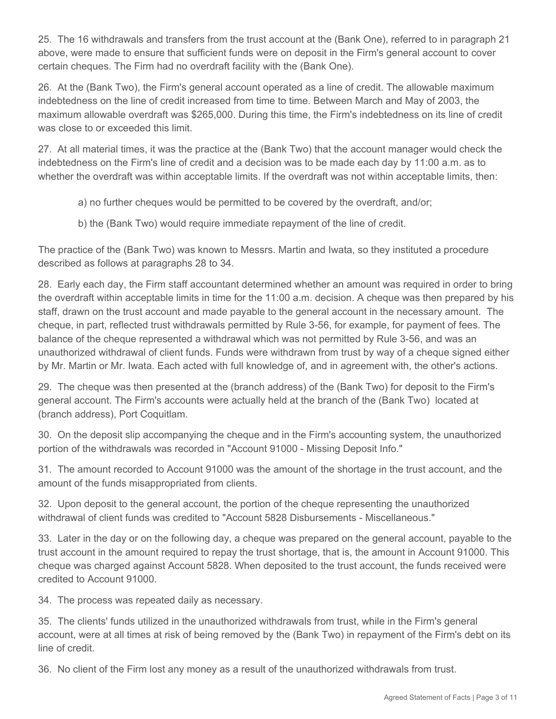25. The 16 withdrawals and transfers from the trust account at the (Bank One), referred to in paragraph 21 above, were made to ensure that sufficient funds were on deposit in the Firm's general account to cover certain cheques. The Firm had no overdraft facility with the (Bank One).

26. At the (Bank Two), the Firm's general account operated as a line of credit. The allowable maximum indebtedness on the line of credit increased from time to time. Between March and May of 2003, the maximum allowable overdraft was \$265,000. During this time, the Firm's indebtedness on its line of credit was close to or exceeded this limit.

27. At all material times, it was the practice at the (Bank Two) that the account manager would check the indebtedness on the Firm's line of credit and a decision was to be made each day by 11:00 a.m. as to whether the overdraft was within acceptable limits. If the overdraft was not within acceptable limits, then:

- a) no further cheques would be permitted to be covered by the overdraft, and/or;
- b) the (Bank Two) would require immediate repayment of the line of credit.

The practice of the (Bank Two) was known to Messrs. Martin and Iwata, so they instituted a procedure described as follows at paragraphs 28 to 34.

28. Early each day, the Firm staff accountant determined whether an amount was required in order to bring the overdraft within acceptable limits in time for the 11:00 a.m. decision. A cheque was then prepared by his staff, drawn on the trust account and made payable to the general account in the necessary amount. The cheque, in part, reflected trust withdrawals permitted by Rule 3-56, for example, for payment of fees. The balance of the cheque represented a withdrawal which was not permitted by Rule 3-56, and was an unauthorized withdrawal of client funds. Funds were withdrawn from trust by way of a cheque signed either by Mr. Martin or Mr. Iwata. Each acted with full knowledge of, and in agreement with, the other's actions.

29. The cheque was then presented at the (branch address) of the (Bank Two) for deposit to the Firm's general account. The Firm's accounts were actually held at the branch of the (Bank Two) located at (branch address), Port Coquitlam.

30. On the deposit slip accompanying the cheque and in the Firm's accounting system, the unauthorized portion of the withdrawals was recorded in "Account 91000 - Missing Deposit Info."

31. The amount recorded to Account 91000 was the amount of the shortage in the trust account, and the amount of the funds misappropriated from clients.

32. Upon deposit to the general account, the portion of the cheque representing the unauthorized withdrawal of client funds was credited to "Account 5828 Disbursements - Miscellaneous."

33. Later in the day or on the following day, a cheque was prepared on the general account, payable to the trust account in the amount required to repay the trust shortage, that is, the amount in Account 91000. This cheque was charged against Account 5828. When deposited to the trust account, the funds received were credited to Account 91000.

34. The process was repeated daily as necessary.

35. The clients' funds utilized in the unauthorized withdrawals from trust, while in the Firm's general account, were at all times at risk of being removed by the (Bank Two) in repayment of the Firm's debt on its line of credit.

36. No client of the Firm lost any money as a result of the unauthorized withdrawals from trust.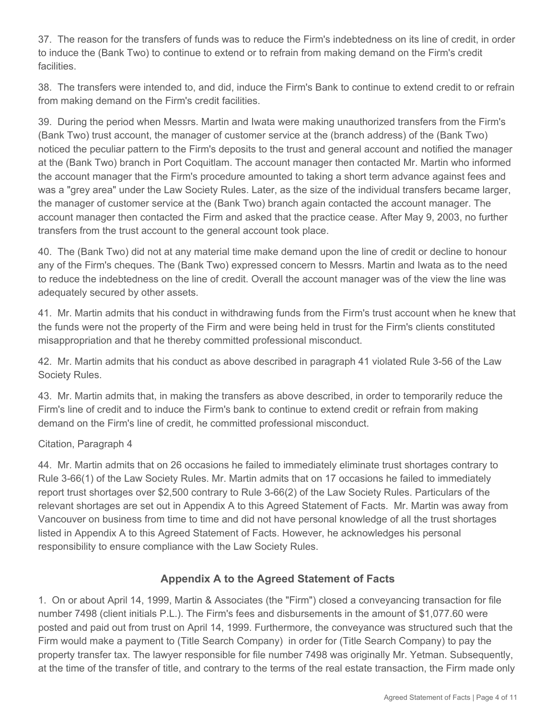37. The reason for the transfers of funds was to reduce the Firm's indebtedness on its line of credit, in order to induce the (Bank Two) to continue to extend or to refrain from making demand on the Firm's credit facilities.

38. The transfers were intended to, and did, induce the Firm's Bank to continue to extend credit to or refrain from making demand on the Firm's credit facilities.

39. During the period when Messrs. Martin and Iwata were making unauthorized transfers from the Firm's (Bank Two) trust account, the manager of customer service at the (branch address) of the (Bank Two) noticed the peculiar pattern to the Firm's deposits to the trust and general account and notified the manager at the (Bank Two) branch in Port Coquitlam. The account manager then contacted Mr. Martin who informed the account manager that the Firm's procedure amounted to taking a short term advance against fees and was a "grey area" under the Law Society Rules. Later, as the size of the individual transfers became larger, the manager of customer service at the (Bank Two) branch again contacted the account manager. The account manager then contacted the Firm and asked that the practice cease. After May 9, 2003, no further transfers from the trust account to the general account took place.

40. The (Bank Two) did not at any material time make demand upon the line of credit or decline to honour any of the Firm's cheques. The (Bank Two) expressed concern to Messrs. Martin and Iwata as to the need to reduce the indebtedness on the line of credit. Overall the account manager was of the view the line was adequately secured by other assets.

41. Mr. Martin admits that his conduct in withdrawing funds from the Firm's trust account when he knew that the funds were not the property of the Firm and were being held in trust for the Firm's clients constituted misappropriation and that he thereby committed professional misconduct.

42. Mr. Martin admits that his conduct as above described in paragraph 41 violated Rule 3-56 of the Law Society Rules.

43. Mr. Martin admits that, in making the transfers as above described, in order to temporarily reduce the Firm's line of credit and to induce the Firm's bank to continue to extend credit or refrain from making demand on the Firm's line of credit, he committed professional misconduct.

#### Citation, Paragraph 4

44. Mr. Martin admits that on 26 occasions he failed to immediately eliminate trust shortages contrary to Rule 3-66(1) of the Law Society Rules. Mr. Martin admits that on 17 occasions he failed to immediately report trust shortages over \$2,500 contrary to Rule 3-66(2) of the Law Society Rules. Particulars of the relevant shortages are set out in Appendix A to this Agreed Statement of Facts. Mr. Martin was away from Vancouver on business from time to time and did not have personal knowledge of all the trust shortages listed in Appendix A to this Agreed Statement of Facts. However, he acknowledges his personal responsibility to ensure compliance with the Law Society Rules.

### **Appendix A to the Agreed Statement of Facts**

1. On or about April 14, 1999, Martin & Associates (the "Firm") closed a conveyancing transaction for file number 7498 (client initials P.L.). The Firm's fees and disbursements in the amount of \$1,077.60 were posted and paid out from trust on April 14, 1999. Furthermore, the conveyance was structured such that the Firm would make a payment to (Title Search Company) in order for (Title Search Company) to pay the property transfer tax. The lawyer responsible for file number 7498 was originally Mr. Yetman. Subsequently, at the time of the transfer of title, and contrary to the terms of the real estate transaction, the Firm made only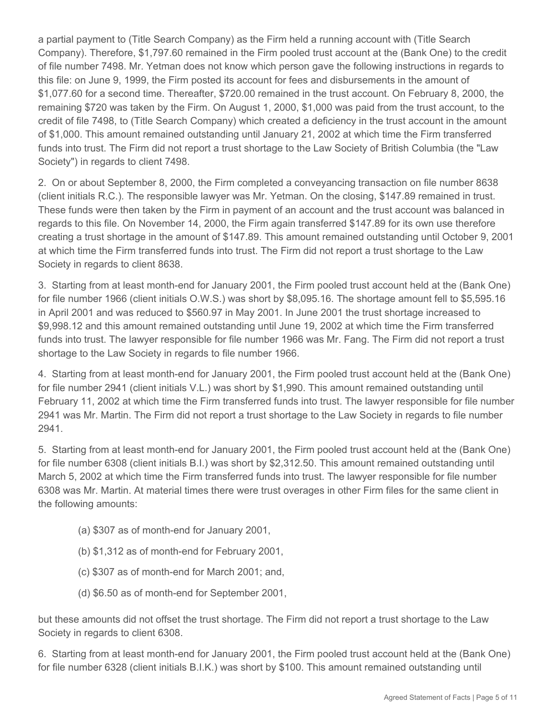a partial payment to (Title Search Company) as the Firm held a running account with (Title Search Company). Therefore, \$1,797.60 remained in the Firm pooled trust account at the (Bank One) to the credit of file number 7498. Mr. Yetman does not know which person gave the following instructions in regards to this file: on June 9, 1999, the Firm posted its account for fees and disbursements in the amount of \$1,077.60 for a second time. Thereafter, \$720.00 remained in the trust account. On February 8, 2000, the remaining \$720 was taken by the Firm. On August 1, 2000, \$1,000 was paid from the trust account, to the credit of file 7498, to (Title Search Company) which created a deficiency in the trust account in the amount of \$1,000. This amount remained outstanding until January 21, 2002 at which time the Firm transferred funds into trust. The Firm did not report a trust shortage to the Law Society of British Columbia (the "Law Society") in regards to client 7498.

2. On or about September 8, 2000, the Firm completed a conveyancing transaction on file number 8638 (client initials R.C.). The responsible lawyer was Mr. Yetman. On the closing, \$147.89 remained in trust. These funds were then taken by the Firm in payment of an account and the trust account was balanced in regards to this file. On November 14, 2000, the Firm again transferred \$147.89 for its own use therefore creating a trust shortage in the amount of \$147.89. This amount remained outstanding until October 9, 2001 at which time the Firm transferred funds into trust. The Firm did not report a trust shortage to the Law Society in regards to client 8638.

3. Starting from at least month-end for January 2001, the Firm pooled trust account held at the (Bank One) for file number 1966 (client initials O.W.S.) was short by \$8,095.16. The shortage amount fell to \$5,595.16 in April 2001 and was reduced to \$560.97 in May 2001. In June 2001 the trust shortage increased to \$9,998.12 and this amount remained outstanding until June 19, 2002 at which time the Firm transferred funds into trust. The lawyer responsible for file number 1966 was Mr. Fang. The Firm did not report a trust shortage to the Law Society in regards to file number 1966.

4. Starting from at least month-end for January 2001, the Firm pooled trust account held at the (Bank One) for file number 2941 (client initials V.L.) was short by \$1,990. This amount remained outstanding until February 11, 2002 at which time the Firm transferred funds into trust. The lawyer responsible for file number 2941 was Mr. Martin. The Firm did not report a trust shortage to the Law Society in regards to file number 2941.

5. Starting from at least month-end for January 2001, the Firm pooled trust account held at the (Bank One) for file number 6308 (client initials B.I.) was short by \$2,312.50. This amount remained outstanding until March 5, 2002 at which time the Firm transferred funds into trust. The lawyer responsible for file number 6308 was Mr. Martin. At material times there were trust overages in other Firm files for the same client in the following amounts:

- (a) \$307 as of month-end for January 2001,
- (b) \$1,312 as of month-end for February 2001,
- (c) \$307 as of month-end for March 2001; and,
- (d) \$6.50 as of month-end for September 2001,

but these amounts did not offset the trust shortage. The Firm did not report a trust shortage to the Law Society in regards to client 6308.

6. Starting from at least month-end for January 2001, the Firm pooled trust account held at the (Bank One) for file number 6328 (client initials B.I.K.) was short by \$100. This amount remained outstanding until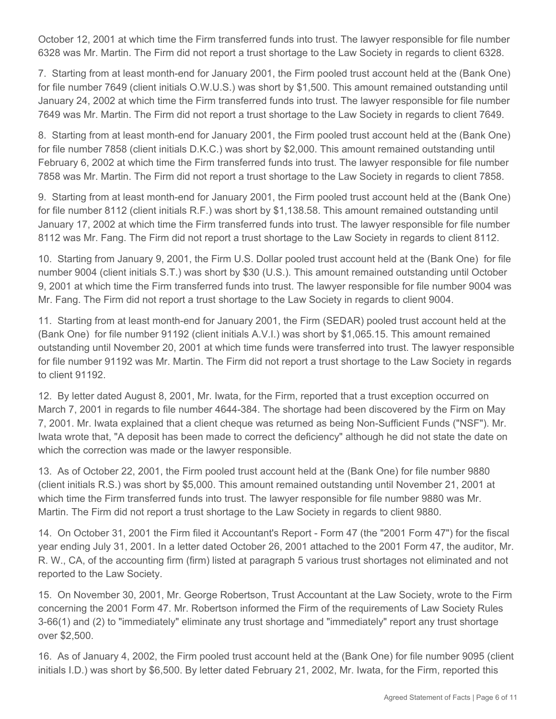October 12, 2001 at which time the Firm transferred funds into trust. The lawyer responsible for file number 6328 was Mr. Martin. The Firm did not report a trust shortage to the Law Society in regards to client 6328.

7. Starting from at least month-end for January 2001, the Firm pooled trust account held at the (Bank One) for file number 7649 (client initials O.W.U.S.) was short by \$1,500. This amount remained outstanding until January 24, 2002 at which time the Firm transferred funds into trust. The lawyer responsible for file number 7649 was Mr. Martin. The Firm did not report a trust shortage to the Law Society in regards to client 7649.

8. Starting from at least month-end for January 2001, the Firm pooled trust account held at the (Bank One) for file number 7858 (client initials D.K.C.) was short by \$2,000. This amount remained outstanding until February 6, 2002 at which time the Firm transferred funds into trust. The lawyer responsible for file number 7858 was Mr. Martin. The Firm did not report a trust shortage to the Law Society in regards to client 7858.

9. Starting from at least month-end for January 2001, the Firm pooled trust account held at the (Bank One) for file number 8112 (client initials R.F.) was short by \$1,138.58. This amount remained outstanding until January 17, 2002 at which time the Firm transferred funds into trust. The lawyer responsible for file number 8112 was Mr. Fang. The Firm did not report a trust shortage to the Law Society in regards to client 8112.

10. Starting from January 9, 2001, the Firm U.S. Dollar pooled trust account held at the (Bank One) for file number 9004 (client initials S.T.) was short by \$30 (U.S.). This amount remained outstanding until October 9, 2001 at which time the Firm transferred funds into trust. The lawyer responsible for file number 9004 was Mr. Fang. The Firm did not report a trust shortage to the Law Society in regards to client 9004.

11. Starting from at least month-end for January 2001, the Firm (SEDAR) pooled trust account held at the (Bank One) for file number 91192 (client initials A.V.I.) was short by \$1,065.15. This amount remained outstanding until November 20, 2001 at which time funds were transferred into trust. The lawyer responsible for file number 91192 was Mr. Martin. The Firm did not report a trust shortage to the Law Society in regards to client 91192.

12. By letter dated August 8, 2001, Mr. Iwata, for the Firm, reported that a trust exception occurred on March 7, 2001 in regards to file number 4644-384. The shortage had been discovered by the Firm on May 7, 2001. Mr. Iwata explained that a client cheque was returned as being Non-Sufficient Funds ("NSF"). Mr. Iwata wrote that, "A deposit has been made to correct the deficiency" although he did not state the date on which the correction was made or the lawyer responsible.

13. As of October 22, 2001, the Firm pooled trust account held at the (Bank One) for file number 9880 (client initials R.S.) was short by \$5,000. This amount remained outstanding until November 21, 2001 at which time the Firm transferred funds into trust. The lawyer responsible for file number 9880 was Mr. Martin. The Firm did not report a trust shortage to the Law Society in regards to client 9880.

14. On October 31, 2001 the Firm filed it Accountant's Report - Form 47 (the "2001 Form 47") for the fiscal year ending July 31, 2001. In a letter dated October 26, 2001 attached to the 2001 Form 47, the auditor, Mr. R. W., CA, of the accounting firm (firm) listed at paragraph 5 various trust shortages not eliminated and not reported to the Law Society.

15. On November 30, 2001, Mr. George Robertson, Trust Accountant at the Law Society, wrote to the Firm concerning the 2001 Form 47. Mr. Robertson informed the Firm of the requirements of Law Society Rules 3-66(1) and (2) to "immediately" eliminate any trust shortage and "immediately" report any trust shortage over \$2,500.

16. As of January 4, 2002, the Firm pooled trust account held at the (Bank One) for file number 9095 (client initials I.D.) was short by \$6,500. By letter dated February 21, 2002, Mr. Iwata, for the Firm, reported this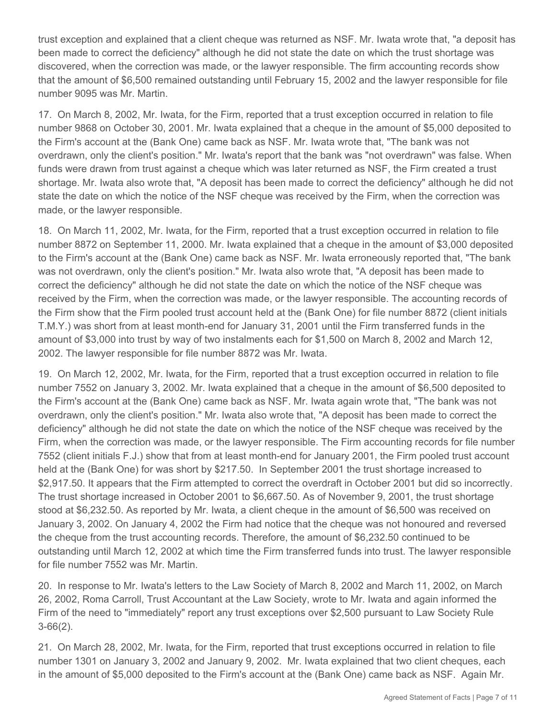trust exception and explained that a client cheque was returned as NSF. Mr. Iwata wrote that, "a deposit has been made to correct the deficiency" although he did not state the date on which the trust shortage was discovered, when the correction was made, or the lawyer responsible. The firm accounting records show that the amount of \$6,500 remained outstanding until February 15, 2002 and the lawyer responsible for file number 9095 was Mr. Martin.

17. On March 8, 2002, Mr. Iwata, for the Firm, reported that a trust exception occurred in relation to file number 9868 on October 30, 2001. Mr. Iwata explained that a cheque in the amount of \$5,000 deposited to the Firm's account at the (Bank One) came back as NSF. Mr. Iwata wrote that, "The bank was not overdrawn, only the client's position." Mr. Iwata's report that the bank was "not overdrawn" was false. When funds were drawn from trust against a cheque which was later returned as NSF, the Firm created a trust shortage. Mr. Iwata also wrote that, "A deposit has been made to correct the deficiency" although he did not state the date on which the notice of the NSF cheque was received by the Firm, when the correction was made, or the lawyer responsible.

18. On March 11, 2002, Mr. Iwata, for the Firm, reported that a trust exception occurred in relation to file number 8872 on September 11, 2000. Mr. Iwata explained that a cheque in the amount of \$3,000 deposited to the Firm's account at the (Bank One) came back as NSF. Mr. Iwata erroneously reported that, "The bank was not overdrawn, only the client's position." Mr. Iwata also wrote that, "A deposit has been made to correct the deficiency" although he did not state the date on which the notice of the NSF cheque was received by the Firm, when the correction was made, or the lawyer responsible. The accounting records of the Firm show that the Firm pooled trust account held at the (Bank One) for file number 8872 (client initials T.M.Y.) was short from at least month-end for January 31, 2001 until the Firm transferred funds in the amount of \$3,000 into trust by way of two instalments each for \$1,500 on March 8, 2002 and March 12, 2002. The lawyer responsible for file number 8872 was Mr. Iwata.

19. On March 12, 2002, Mr. Iwata, for the Firm, reported that a trust exception occurred in relation to file number 7552 on January 3, 2002. Mr. Iwata explained that a cheque in the amount of \$6,500 deposited to the Firm's account at the (Bank One) came back as NSF. Mr. Iwata again wrote that, "The bank was not overdrawn, only the client's position." Mr. Iwata also wrote that, "A deposit has been made to correct the deficiency" although he did not state the date on which the notice of the NSF cheque was received by the Firm, when the correction was made, or the lawyer responsible. The Firm accounting records for file number 7552 (client initials F.J.) show that from at least month-end for January 2001, the Firm pooled trust account held at the (Bank One) for was short by \$217.50. In September 2001 the trust shortage increased to \$2,917.50. It appears that the Firm attempted to correct the overdraft in October 2001 but did so incorrectly. The trust shortage increased in October 2001 to \$6,667.50. As of November 9, 2001, the trust shortage stood at \$6,232.50. As reported by Mr. Iwata, a client cheque in the amount of \$6,500 was received on January 3, 2002. On January 4, 2002 the Firm had notice that the cheque was not honoured and reversed the cheque from the trust accounting records. Therefore, the amount of \$6,232.50 continued to be outstanding until March 12, 2002 at which time the Firm transferred funds into trust. The lawyer responsible for file number 7552 was Mr. Martin.

20. In response to Mr. Iwata's letters to the Law Society of March 8, 2002 and March 11, 2002, on March 26, 2002, Roma Carroll, Trust Accountant at the Law Society, wrote to Mr. Iwata and again informed the Firm of the need to "immediately" report any trust exceptions over \$2,500 pursuant to Law Society Rule 3-66(2).

21. On March 28, 2002, Mr. Iwata, for the Firm, reported that trust exceptions occurred in relation to file number 1301 on January 3, 2002 and January 9, 2002. Mr. Iwata explained that two client cheques, each in the amount of \$5,000 deposited to the Firm's account at the (Bank One) came back as NSF. Again Mr.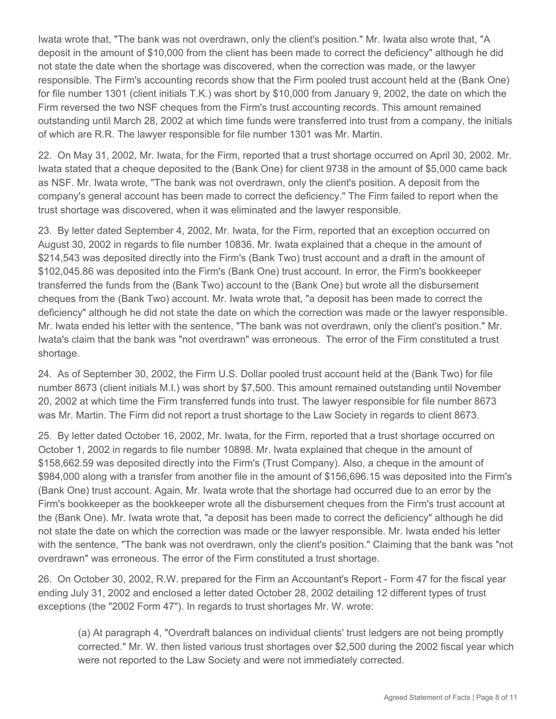Iwata wrote that, "The bank was not overdrawn, only the client's position." Mr. Iwata also wrote that, "A deposit in the amount of \$10,000 from the client has been made to correct the deficiency" although he did not state the date when the shortage was discovered, when the correction was made, or the lawyer responsible. The Firm's accounting records show that the Firm pooled trust account held at the (Bank One) for file number 1301 (client initials T.K.) was short by \$10,000 from January 9, 2002, the date on which the Firm reversed the two NSF cheques from the Firm's trust accounting records. This amount remained outstanding until March 28, 2002 at which time funds were transferred into trust from a company, the initials of which are R.R. The lawyer responsible for file number 1301 was Mr. Martin.

22. On May 31, 2002, Mr. Iwata, for the Firm, reported that a trust shortage occurred on April 30, 2002. Mr. Iwata stated that a cheque deposited to the (Bank One) for client 9738 in the amount of \$5,000 came back as NSF. Mr. Iwata wrote, "The bank was not overdrawn, only the client's position. A deposit from the company's general account has been made to correct the deficiency." The Firm failed to report when the trust shortage was discovered, when it was eliminated and the lawyer responsible.

23. By letter dated September 4, 2002, Mr. Iwata, for the Firm, reported that an exception occurred on August 30, 2002 in regards to file number 10836. Mr. Iwata explained that a cheque in the amount of \$214,543 was deposited directly into the Firm's (Bank Two) trust account and a draft in the amount of \$102,045.86 was deposited into the Firm's (Bank One) trust account. In error, the Firm's bookkeeper transferred the funds from the (Bank Two) account to the (Bank One) but wrote all the disbursement cheques from the (Bank Two) account. Mr. Iwata wrote that, "a deposit has been made to correct the deficiency" although he did not state the date on which the correction was made or the lawyer responsible. Mr. Iwata ended his letter with the sentence, "The bank was not overdrawn, only the client's position." Mr. Iwata's claim that the bank was "not overdrawn" was erroneous. The error of the Firm constituted a trust shortage.

24. As of September 30, 2002, the Firm U.S. Dollar pooled trust account held at the (Bank Two) for file number 8673 (client initials M.I.) was short by \$7,500. This amount remained outstanding until November 20, 2002 at which time the Firm transferred funds into trust. The lawyer responsible for file number 8673 was Mr. Martin. The Firm did not report a trust shortage to the Law Society in regards to client 8673.

25. By letter dated October 16, 2002, Mr. Iwata, for the Firm, reported that a trust shortage occurred on October 1, 2002 in regards to file number 10898. Mr. Iwata explained that cheque in the amount of \$158,662.59 was deposited directly into the Firm's (Trust Company). Also, a cheque in the amount of \$984,000 along with a transfer from another file in the amount of \$156,696.15 was deposited into the Firm's (Bank One) trust account. Again, Mr. Iwata wrote that the shortage had occurred due to an error by the Firm's bookkeeper as the bookkeeper wrote all the disbursement cheques from the Firm's trust account at the (Bank One). Mr. Iwata wrote that, "a deposit has been made to correct the deficiency" although he did not state the date on which the correction was made or the lawyer responsible. Mr. Iwata ended his letter with the sentence, "The bank was not overdrawn, only the client's position." Claiming that the bank was "not overdrawn" was erroneous. The error of the Firm constituted a trust shortage.

26. On October 30, 2002, R.W. prepared for the Firm an Accountant's Report - Form 47 for the fiscal year ending July 31, 2002 and enclosed a letter dated October 28, 2002 detailing 12 different types of trust exceptions (the "2002 Form 47"). In regards to trust shortages Mr. W. wrote:

(a) At paragraph 4, "Overdraft balances on individual clients' trust ledgers are not being promptly corrected." Mr. W. then listed various trust shortages over \$2,500 during the 2002 fiscal year which were not reported to the Law Society and were not immediately corrected.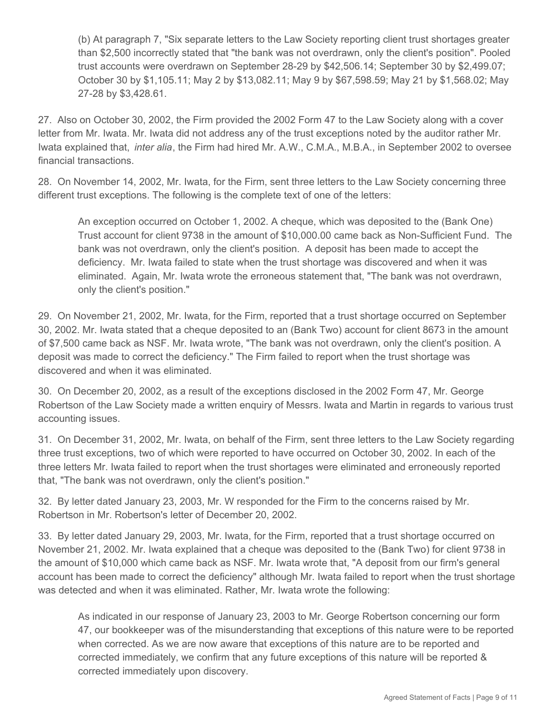(b) At paragraph 7, "Six separate letters to the Law Society reporting client trust shortages greater than \$2,500 incorrectly stated that "the bank was not overdrawn, only the client's position". Pooled trust accounts were overdrawn on September 28-29 by \$42,506.14; September 30 by \$2,499.07; October 30 by \$1,105.11; May 2 by \$13,082.11; May 9 by \$67,598.59; May 21 by \$1,568.02; May 27-28 by \$3,428.61.

27. Also on October 30, 2002, the Firm provided the 2002 Form 47 to the Law Society along with a cover letter from Mr. Iwata. Mr. Iwata did not address any of the trust exceptions noted by the auditor rather Mr. Iwata explained that, *inter alia*, the Firm had hired Mr. A.W., C.M.A., M.B.A., in September 2002 to oversee financial transactions.

28. On November 14, 2002, Mr. Iwata, for the Firm, sent three letters to the Law Society concerning three different trust exceptions. The following is the complete text of one of the letters:

An exception occurred on October 1, 2002. A cheque, which was deposited to the (Bank One) Trust account for client 9738 in the amount of \$10,000.00 came back as Non-Sufficient Fund. The bank was not overdrawn, only the client's position. A deposit has been made to accept the deficiency. Mr. Iwata failed to state when the trust shortage was discovered and when it was eliminated. Again, Mr. Iwata wrote the erroneous statement that, "The bank was not overdrawn, only the client's position."

29. On November 21, 2002, Mr. Iwata, for the Firm, reported that a trust shortage occurred on September 30, 2002. Mr. Iwata stated that a cheque deposited to an (Bank Two) account for client 8673 in the amount of \$7,500 came back as NSF. Mr. Iwata wrote, "The bank was not overdrawn, only the client's position. A deposit was made to correct the deficiency." The Firm failed to report when the trust shortage was discovered and when it was eliminated.

30. On December 20, 2002, as a result of the exceptions disclosed in the 2002 Form 47, Mr. George Robertson of the Law Society made a written enquiry of Messrs. Iwata and Martin in regards to various trust accounting issues.

31. On December 31, 2002, Mr. Iwata, on behalf of the Firm, sent three letters to the Law Society regarding three trust exceptions, two of which were reported to have occurred on October 30, 2002. In each of the three letters Mr. Iwata failed to report when the trust shortages were eliminated and erroneously reported that, "The bank was not overdrawn, only the client's position."

32. By letter dated January 23, 2003, Mr. W responded for the Firm to the concerns raised by Mr. Robertson in Mr. Robertson's letter of December 20, 2002.

33. By letter dated January 29, 2003, Mr. Iwata, for the Firm, reported that a trust shortage occurred on November 21, 2002. Mr. Iwata explained that a cheque was deposited to the (Bank Two) for client 9738 in the amount of \$10,000 which came back as NSF. Mr. Iwata wrote that, "A deposit from our firm's general account has been made to correct the deficiency" although Mr. Iwata failed to report when the trust shortage was detected and when it was eliminated. Rather, Mr. Iwata wrote the following:

As indicated in our response of January 23, 2003 to Mr. George Robertson concerning our form 47, our bookkeeper was of the misunderstanding that exceptions of this nature were to be reported when corrected. As we are now aware that exceptions of this nature are to be reported and corrected immediately, we confirm that any future exceptions of this nature will be reported & corrected immediately upon discovery.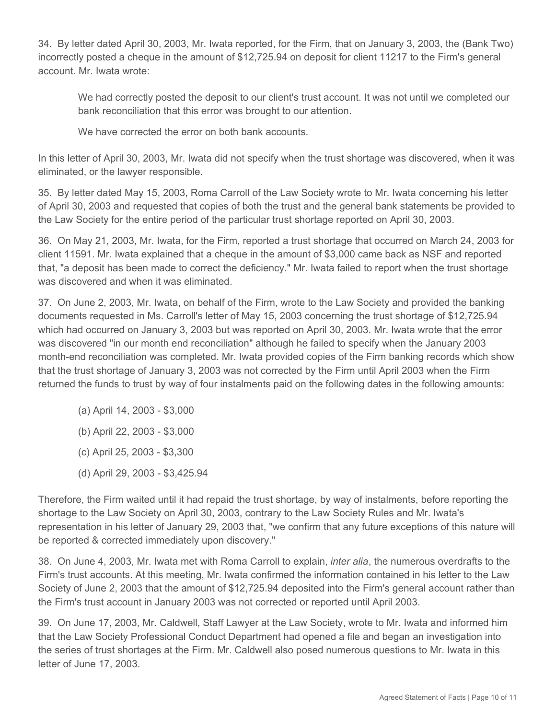34. By letter dated April 30, 2003, Mr. Iwata reported, for the Firm, that on January 3, 2003, the (Bank Two) incorrectly posted a cheque in the amount of \$12,725.94 on deposit for client 11217 to the Firm's general account. Mr. Iwata wrote:

We had correctly posted the deposit to our client's trust account. It was not until we completed our bank reconciliation that this error was brought to our attention.

We have corrected the error on both bank accounts.

In this letter of April 30, 2003, Mr. Iwata did not specify when the trust shortage was discovered, when it was eliminated, or the lawyer responsible.

35. By letter dated May 15, 2003, Roma Carroll of the Law Society wrote to Mr. Iwata concerning his letter of April 30, 2003 and requested that copies of both the trust and the general bank statements be provided to the Law Society for the entire period of the particular trust shortage reported on April 30, 2003.

36. On May 21, 2003, Mr. Iwata, for the Firm, reported a trust shortage that occurred on March 24, 2003 for client 11591. Mr. Iwata explained that a cheque in the amount of \$3,000 came back as NSF and reported that, "a deposit has been made to correct the deficiency." Mr. Iwata failed to report when the trust shortage was discovered and when it was eliminated.

37. On June 2, 2003, Mr. Iwata, on behalf of the Firm, wrote to the Law Society and provided the banking documents requested in Ms. Carroll's letter of May 15, 2003 concerning the trust shortage of \$12,725.94 which had occurred on January 3, 2003 but was reported on April 30, 2003. Mr. Iwata wrote that the error was discovered "in our month end reconciliation" although he failed to specify when the January 2003 month-end reconciliation was completed. Mr. Iwata provided copies of the Firm banking records which show that the trust shortage of January 3, 2003 was not corrected by the Firm until April 2003 when the Firm returned the funds to trust by way of four instalments paid on the following dates in the following amounts:

- (a) April 14, 2003 \$3,000
- (b) April 22, 2003 \$3,000
- (c) April 25, 2003 \$3,300
- (d) April 29, 2003 \$3,425.94

Therefore, the Firm waited until it had repaid the trust shortage, by way of instalments, before reporting the shortage to the Law Society on April 30, 2003, contrary to the Law Society Rules and Mr. Iwata's representation in his letter of January 29, 2003 that, "we confirm that any future exceptions of this nature will be reported & corrected immediately upon discovery."

38. On June 4, 2003, Mr. Iwata met with Roma Carroll to explain, *inter alia*, the numerous overdrafts to the Firm's trust accounts. At this meeting, Mr. Iwata confirmed the information contained in his letter to the Law Society of June 2, 2003 that the amount of \$12,725.94 deposited into the Firm's general account rather than the Firm's trust account in January 2003 was not corrected or reported until April 2003.

39. On June 17, 2003, Mr. Caldwell, Staff Lawyer at the Law Society, wrote to Mr. Iwata and informed him that the Law Society Professional Conduct Department had opened a file and began an investigation into the series of trust shortages at the Firm. Mr. Caldwell also posed numerous questions to Mr. Iwata in this letter of June 17, 2003.